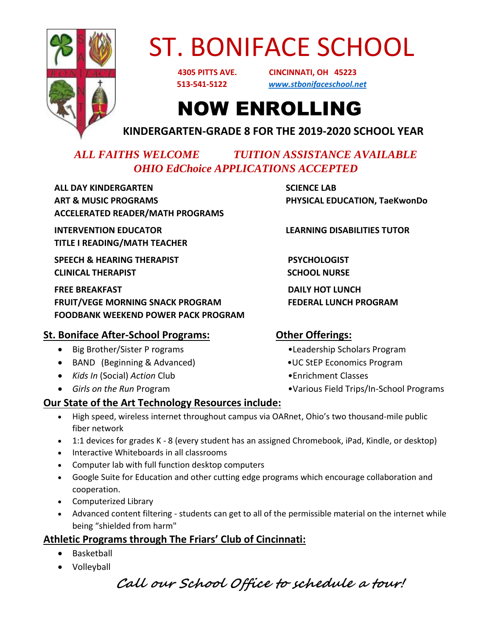

# ST. BONIFACE SCHOOL

 **4305 PITTS AVE. CINCINNATI, OH 45223 513-541-5122** *[www.stbonifaceschool.net](http://www.stbonifaceschool.net/)*

### NOW ENROLLING

**KINDERGARTEN-GRADE 8 FOR THE 2019-2020 SCHOOL YEAR**

### *ALL FAITHS WELCOME TUITION ASSISTANCE AVAILABLE OHIO EdChoice APPLICATIONS ACCEPTED*

 **ALL DAY KINDERGARTEN SCIENCE LAB ART & MUSIC PROGRAMS PHYSICAL EDUCATION, TaeKwonDo ACCELERATED READER/MATH PROGRAMS**

**INTERVENTION EDUCATOR LEARNING DISABILITIES TUTOR TITLE I READING/MATH TEACHER**

**SPEECH & HEARING THERAPIST PSYCHOLOGIST CLINICAL THERAPIST SCHOOL NURSE**

 **FREE BREAKFAST DAILY HOT LUNCH**  FRUIT/VEGE MORNING SNACK PROGRAM FEDERAL LUNCH PROGRAM  **FOODBANK WEEKEND POWER PACK PROGRAM** 

### **St. Boniface After-School Programs: Other Offerings:**

- Big Brother/Sister P rograms •Leadership Scholars Program
- BAND (Beginning & Advanced) •UC StEP Economics Program
- *Kids In* (Social) *Action* Club •Enrichment Classes
- 

- 
- 
- 
- Girls on the Run Program **•Various Field Trips/In-School Programs**

### **Our State of the Art Technology Resources include:**

- High speed, wireless internet throughout campus via OARnet, Ohio's two thousand-mile public fiber network
- 1:1 devices for grades K 8 (every student has an assigned Chromebook, iPad, Kindle, or desktop)
- Interactive Whiteboards in all classrooms
- Computer lab with full function desktop computers
- Google Suite for Education and other cutting edge programs which encourage collaboration and cooperation.
- Computerized Library
- Advanced content filtering students can get to all of the permissible material on the internet while being "shielded from harm"

### **Athletic Programs through The Friars' Club of Cincinnati:**

- Basketball
- Volleyball

**Call our School Office to schedule a tour!**